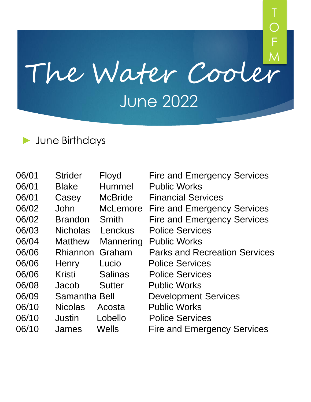# The Water Cooler June 2022 M

T

F

#### ► June Birthdays

| 06/01 | <b>Strider</b>  | Floyd           | <b>Fire and Emergency Services</b>   |
|-------|-----------------|-----------------|--------------------------------------|
| 06/01 | <b>Blake</b>    | Hummel          | <b>Public Works</b>                  |
| 06/01 | Casey           | <b>McBride</b>  | <b>Financial Services</b>            |
| 06/02 | John            | <b>McLemore</b> | <b>Fire and Emergency Services</b>   |
| 06/02 | <b>Brandon</b>  | Smith           | <b>Fire and Emergency Services</b>   |
| 06/03 | <b>Nicholas</b> | Lenckus         | <b>Police Services</b>               |
| 06/04 | <b>Matthew</b>  | Mannering       | <b>Public Works</b>                  |
| 06/06 | Rhiannon Graham |                 | <b>Parks and Recreation Services</b> |
| 06/06 | Henry           | Lucio           | <b>Police Services</b>               |
| 06/06 | Kristi          | <b>Salinas</b>  | <b>Police Services</b>               |
| 06/08 | Jacob           | <b>Sutter</b>   | <b>Public Works</b>                  |
| 06/09 | Samantha Bell   |                 | <b>Development Services</b>          |
| 06/10 | <b>Nicolas</b>  | Acosta          | <b>Public Works</b>                  |
| 06/10 | Justin          | Lobello         | <b>Police Services</b>               |
| 06/10 | James           | Wells           | <b>Fire and Emergency Services</b>   |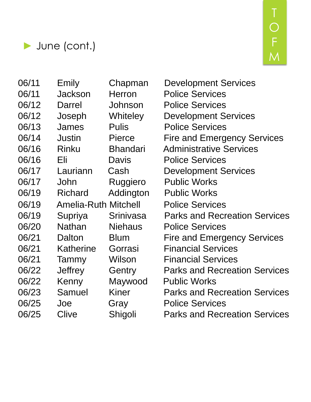



06/11 Emily Chapman Development Services 06/11 Jackson Herron Police Services 06/12 Darrel Johnson Police Services 06/12 Joseph Whiteley Development Services 06/13 James Pulis Police Services 06/14 Justin Pierce Fire and Emergency Services 06/16 Rinku Bhandari Administrative Services 06/16 Eli Davis Police Services 06/17 Lauriann Cash Development Services 06/17 John Ruggiero Public Works 06/19 Richard Addington Public Works 06/19 Amelia-Ruth Mitchell Police Services 06/19 Supriya Srinivasa Parks and Recreation Services 06/20 Nathan Niehaus Police Services 06/21 Dalton Blum Fire and Emergency Services 06/21 Katherine Gorrasi Financial Services 06/21 Tammy Wilson Financial Services 06/22 Jeffrey Gentry Parks and Recreation Services 06/22 Kenny Maywood Public Works 06/23 Samuel Kiner Parks and Recreation Services 06/25 Joe Gray Police Services 06/25 Clive Shigoli Parks and Recreation Services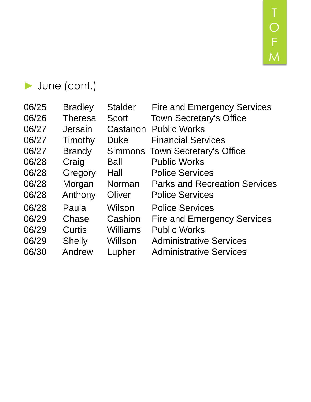T F M

#### ► June (cont.)

| 06/25 | <b>Bradley</b> | <b>Stalder</b>  | <b>Fire and Emergency Services</b>     |
|-------|----------------|-----------------|----------------------------------------|
| 06/26 | <b>Theresa</b> | <b>Scott</b>    | <b>Town Secretary's Office</b>         |
| 06/27 | Jersain        | Castanon        | <b>Public Works</b>                    |
| 06/27 | Timothy        | <b>Duke</b>     | <b>Financial Services</b>              |
| 06/27 | <b>Brandy</b>  |                 | <b>Simmons Town Secretary's Office</b> |
| 06/28 | Craig          | <b>Ball</b>     | <b>Public Works</b>                    |
| 06/28 | Gregory        | Hall            | <b>Police Services</b>                 |
| 06/28 | Morgan         | Norman          | <b>Parks and Recreation Services</b>   |
| 06/28 | Anthony        | Oliver          | <b>Police Services</b>                 |
| 06/28 | Paula          | Wilson          | <b>Police Services</b>                 |
| 06/29 | Chase          | Cashion         | <b>Fire and Emergency Services</b>     |
| 06/29 | Curtis         | <b>Williams</b> | <b>Public Works</b>                    |
| 06/29 | <b>Shelly</b>  | Willson         | <b>Administrative Services</b>         |
| 06/30 | Andrew         | Lupher          | <b>Administrative Services</b>         |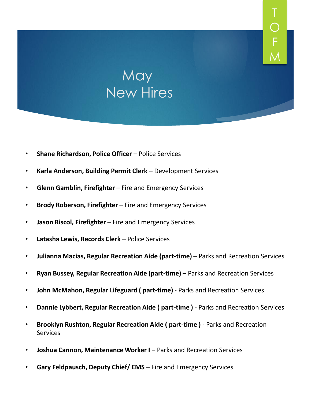#### **May** New Hires

T

F

- **Shane Richardson, Police Officer –** Police Services
- **Karla Anderson, Building Permit Clerk**  Development Services
- **Glenn Gamblin, Firefighter**  Fire and Emergency Services
- **Brody Roberson, Firefighter**  Fire and Emergency Services
- **Jason Riscol, Firefighter**  Fire and Emergency Services
- **Latasha Lewis, Records Clerk**  Police Services
- **Julianna Macias, Regular Recreation Aide (part-time)**  Parks and Recreation Services
- **Ryan Bussey, Regular Recreation Aide (part-time)**  Parks and Recreation Services
- **John McMahon, Regular Lifeguard ( part-time)**  Parks and Recreation Services
- **Dannie Lybbert, Regular Recreation Aide ( part-time )**  Parks and Recreation Services
- **Brooklyn Rushton, Regular Recreation Aide ( part-time )**  Parks and Recreation **Services**
- **Joshua Cannon, Maintenance Worker I** Parks and Recreation Services
- **Gary Feldpausch, Deputy Chief/ EMS**  Fire and Emergency Services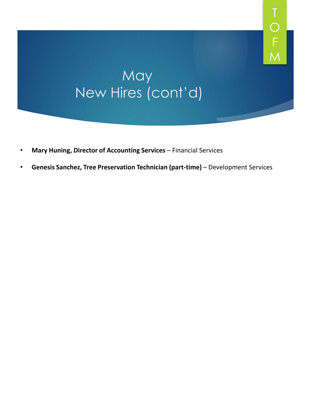#### **May** New Hires (cont'd)

T

F

- **Mary Huning, Director of Accounting Services**  Financial Services
- **Genesis Sanchez, Tree Preservation Technician (part-time)**  Development Services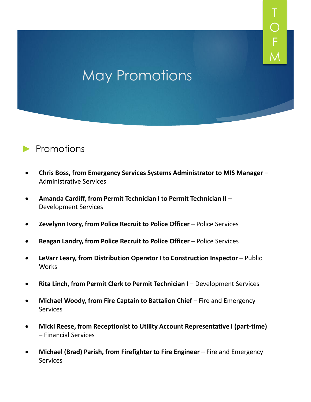### May Promotions

T

F



- **Chris Boss, from Emergency Services Systems Administrator to MIS Manager**  Administrative Services
- **Amanda Cardiff, from Permit Technician I to Permit Technician II**  Development Services
- **Zevelynn Ivory, from Police Recruit to Police Officer**  Police Services
- **Reagan Landry, from Police Recruit to Police Officer**  Police Services
- **LeVarr Leary, from Distribution Operator I to Construction Inspector**  Public **Works**
- **Rita Linch, from Permit Clerk to Permit Technician I** Development Services
- **Michael Woody, from Fire Captain to Battalion Chief Fire and Emergency Services**
- **Micki Reese, from Receptionist to Utility Account Representative I (part-time)**  – Financial Services
- Michael (Brad) Parish, from Firefighter to Fire Engineer Fire and Emergency **Services**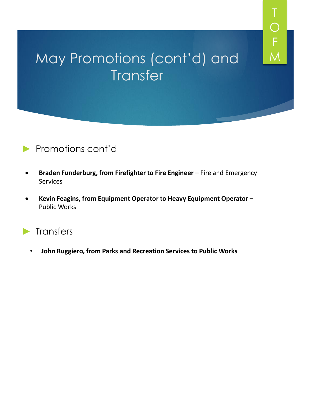### May Promotions (cont'd) and **Transfer**

T

F

M

#### ► Promotions cont'd

- **Braden Funderburg, from Firefighter to Fire Engineer**  Fire and Emergency Services
- **Kevin Feagins, from Equipment Operator to Heavy Equipment Operator –** Public Works
- ► Transfers
	- **John Ruggiero, from Parks and Recreation Services to Public Works**